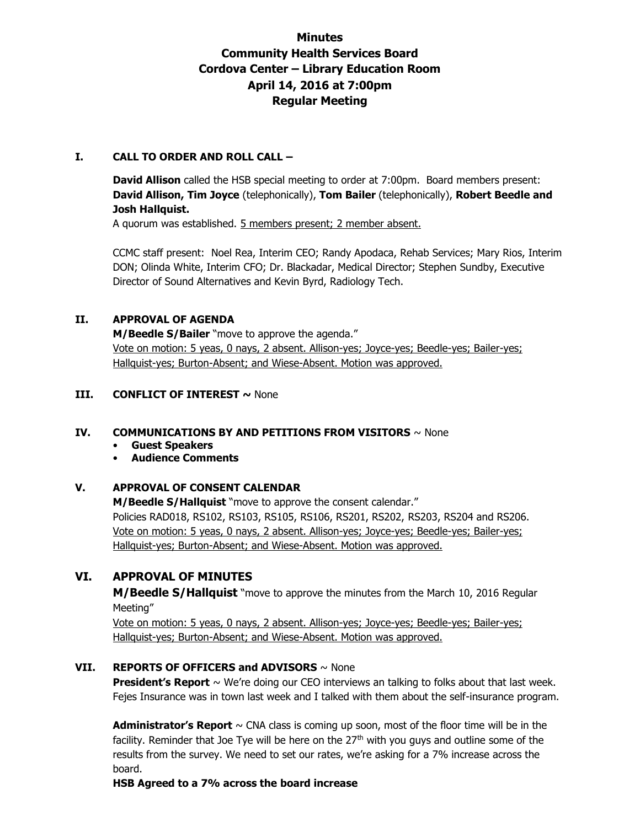# **Minutes Community Health Services Board Cordova Center – Library Education Room April 14, 2016 at 7:00pm Regular Meeting**

### **I. CALL TO ORDER AND ROLL CALL –**

**David Allison** called the HSB special meeting to order at 7:00pm. Board members present: **David Allison, Tim Joyce** (telephonically), **Tom Bailer** (telephonically), **Robert Beedle and Josh Hallquist.** 

A quorum was established. 5 members present; 2 member absent.

CCMC staff present: Noel Rea, Interim CEO; Randy Apodaca, Rehab Services; Mary Rios, Interim DON; Olinda White, Interim CFO; Dr. Blackadar, Medical Director; Stephen Sundby, Executive Director of Sound Alternatives and Kevin Byrd, Radiology Tech.

# **II. APPROVAL OF AGENDA**

**M/Beedle S/Bailer** "move to approve the agenda." Vote on motion: 5 yeas, 0 nays, 2 absent. Allison-yes; Joyce-yes; Beedle-yes; Bailer-yes; Hallquist-yes; Burton-Absent; and Wiese-Absent. Motion was approved.

### **III. CONFLICT OF INTEREST ~ None**

### **IV. COMMUNICATIONS BY AND PETITIONS FROM VISITORS** ~ None

- **Guest Speakers**
- **Audience Comments**

# **V. APPROVAL OF CONSENT CALENDAR**

**M/Beedle S/Hallquist** "move to approve the consent calendar." Policies RAD018, RS102, RS103, RS105, RS106, RS201, RS202, RS203, RS204 and RS206. Vote on motion: 5 yeas, 0 nays, 2 absent. Allison-yes; Joyce-yes; Beedle-yes; Bailer-yes; Hallquist-yes; Burton-Absent; and Wiese-Absent. Motion was approved.

# **VI. APPROVAL OF MINUTES**

**M/Beedle S/Hallquist** "move to approve the minutes from the March 10, 2016 Regular Meeting"

Vote on motion: 5 yeas, 0 nays, 2 absent. Allison-yes; Joyce-yes; Beedle-yes; Bailer-yes; Hallquist-yes; Burton-Absent; and Wiese-Absent. Motion was approved.

# **VII. REPORTS OF OFFICERS and ADVISORS** ~ None

**President's Report** ~ We're doing our CEO interviews an talking to folks about that last week. Fejes Insurance was in town last week and I talked with them about the self-insurance program.

**Administrator's Report** ~ CNA class is coming up soon, most of the floor time will be in the facility. Reminder that Joe Tye will be here on the  $27<sup>th</sup>$  with you guys and outline some of the results from the survey. We need to set our rates, we're asking for a 7% increase across the board.

**HSB Agreed to a 7% across the board increase**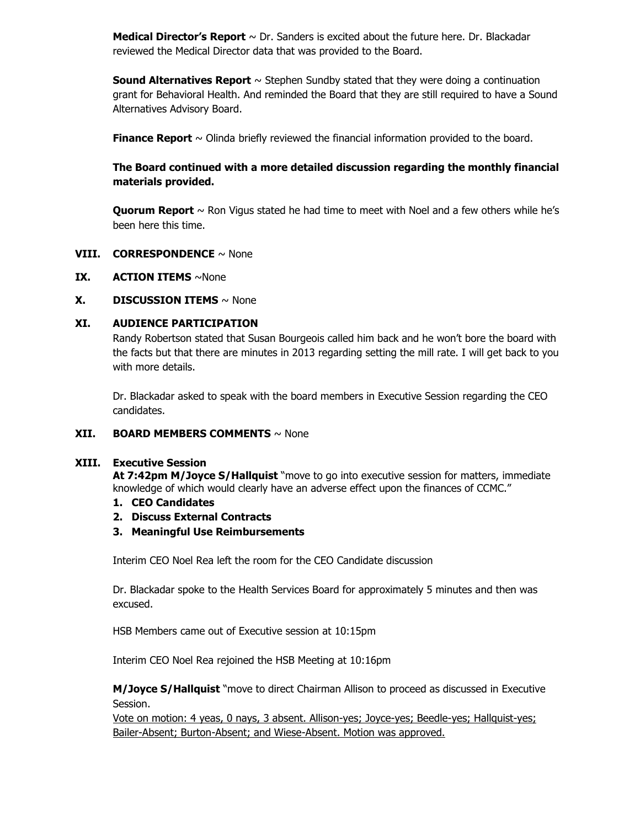**Medical Director's Report** ~ Dr. Sanders is excited about the future here. Dr. Blackadar reviewed the Medical Director data that was provided to the Board.

**Sound Alternatives Report** ~ Stephen Sundby stated that they were doing a continuation grant for Behavioral Health. And reminded the Board that they are still required to have a Sound Alternatives Advisory Board.

**Finance Report**  $\sim$  Olinda briefly reviewed the financial information provided to the board.

# **The Board continued with a more detailed discussion regarding the monthly financial materials provided.**

**Quorum Report** ~ Ron Vigus stated he had time to meet with Noel and a few others while he's been here this time.

### **VIII. CORRESPONDENCE** ~ None

#### **IX.** ACTION ITEMS ~None

#### **X. DISCUSSION ITEMS** ~ None

#### **XI. AUDIENCE PARTICIPATION**

Randy Robertson stated that Susan Bourgeois called him back and he won't bore the board with the facts but that there are minutes in 2013 regarding setting the mill rate. I will get back to you with more details.

Dr. Blackadar asked to speak with the board members in Executive Session regarding the CEO candidates.

#### **XII. BOARD MEMBERS COMMENTS** ~ None

#### **XIII. Executive Session**

**At 7:42pm M/Joyce S/Hallquist** "move to go into executive session for matters, immediate knowledge of which would clearly have an adverse effect upon the finances of CCMC."

- **1. CEO Candidates**
- **2. Discuss External Contracts**
- **3. Meaningful Use Reimbursements**

Interim CEO Noel Rea left the room for the CEO Candidate discussion

Dr. Blackadar spoke to the Health Services Board for approximately 5 minutes and then was excused.

HSB Members came out of Executive session at 10:15pm

Interim CEO Noel Rea rejoined the HSB Meeting at 10:16pm

**M/Joyce S/Hallquist** "move to direct Chairman Allison to proceed as discussed in Executive Session.

Vote on motion: 4 yeas, 0 nays, 3 absent. Allison-yes; Joyce-yes; Beedle-yes; Hallquist-yes; Bailer-Absent; Burton-Absent; and Wiese-Absent. Motion was approved.